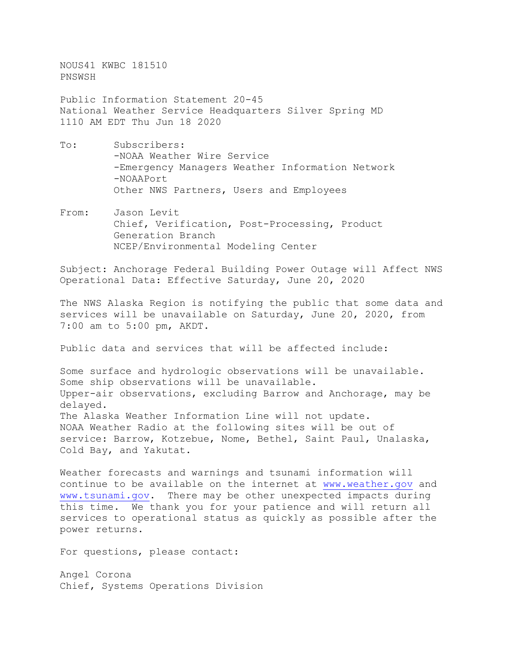NOUS41 KWBC 181510 PNSWSH

Public Information Statement 20-45 National Weather Service Headquarters Silver Spring MD 1110 AM EDT Thu Jun 18 2020

- To: Subscribers: -NOAA Weather Wire Service -Emergency Managers Weather Information Network -NOAAPort Other NWS Partners, Users and Employees
- From: Jason Levit Chief, Verification, Post-Processing, Product Generation Branch NCEP/Environmental Modeling Center

Subject: Anchorage Federal Building Power Outage will Affect NWS Operational Data: Effective Saturday, June 20, 2020

The NWS Alaska Region is notifying the public that some data and services will be unavailable on Saturday, June 20, 2020, from 7:00 am to 5:00 pm, AKDT.

Public data and services that will be affected include:

Some surface and hydrologic observations will be unavailable. Some ship observations will be unavailable. Upper-air observations, excluding Barrow and Anchorage, may be delayed. The Alaska Weather Information Line will not update. NOAA Weather Radio at the following sites will be out of service: Barrow, Kotzebue, Nome, Bethel, Saint Paul, Unalaska, Cold Bay, and Yakutat.

Weather forecasts and warnings and tsunami information will continue to be available on the internet at [www.weather.gov](http://www.weather.gov/) and [www.tsunami.gov.](http://www.tsunami.gov/) There may be other unexpected impacts during this time. We thank you for your patience and will return all services to operational status as quickly as possible after the power returns.

For questions, please contact:

Angel Corona Chief, Systems Operations Division